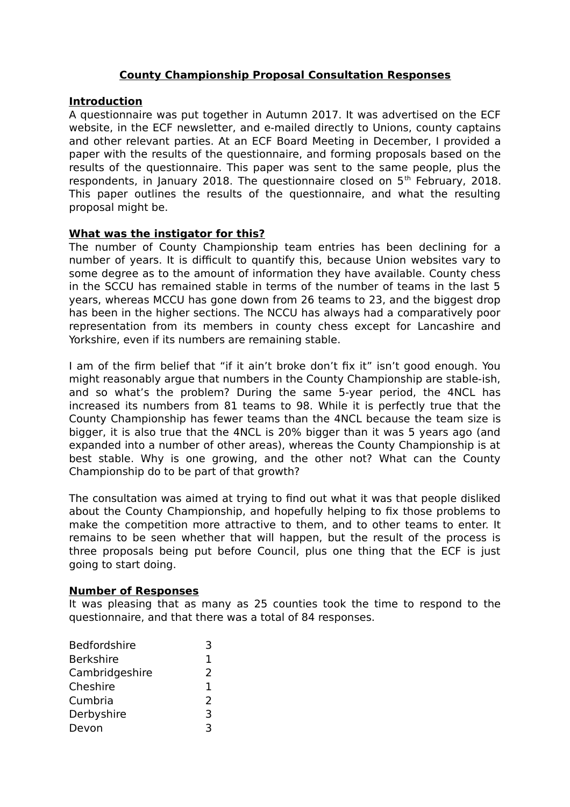## **County Championship Proposal Consultation Responses**

### **Introduction**

A questionnaire was put together in Autumn 2017. It was advertised on the ECF website, in the ECF newsletter, and e-mailed directly to Unions, county captains and other relevant parties. At an ECF Board Meeting in December, I provided a paper with the results of the questionnaire, and forming proposals based on the results of the questionnaire. This paper was sent to the same people, plus the respondents, in January 2018. The questionnaire closed on 5<sup>th</sup> February, 2018. This paper outlines the results of the questionnaire, and what the resulting proposal might be.

## **What was the instigator for this?**

The number of County Championship team entries has been declining for a number of years. It is difficult to quantify this, because Union websites vary to some degree as to the amount of information they have available. County chess in the SCCU has remained stable in terms of the number of teams in the last 5 years, whereas MCCU has gone down from 26 teams to 23, and the biggest drop has been in the higher sections. The NCCU has always had a comparatively poor representation from its members in county chess except for Lancashire and Yorkshire, even if its numbers are remaining stable.

I am of the firm belief that "if it ain't broke don't fix it" isn't good enough. You might reasonably argue that numbers in the County Championship are stable-ish, and so what's the problem? During the same 5-year period, the 4NCL has increased its numbers from 81 teams to 98. While it is perfectly true that the County Championship has fewer teams than the 4NCL because the team size is bigger, it is also true that the 4NCL is 20% bigger than it was 5 years ago (and expanded into a number of other areas), whereas the County Championship is at best stable. Why is one growing, and the other not? What can the County Championship do to be part of that growth?

The consultation was aimed at trying to find out what it was that people disliked about the County Championship, and hopefully helping to fix those problems to make the competition more attractive to them, and to other teams to enter. It remains to be seen whether that will happen, but the result of the process is three proposals being put before Council, plus one thing that the ECF is just going to start doing.

#### **Number of Responses**

It was pleasing that as many as 25 counties took the time to respond to the questionnaire, and that there was a total of 84 responses.

| <b>Bedfordshire</b> | 3  |
|---------------------|----|
| <b>Berkshire</b>    | 1. |
| Cambridgeshire      | 2  |
| Cheshire            | 1. |
| Cumbria             | 2  |
| Derbyshire          | 3  |
| Devon               |    |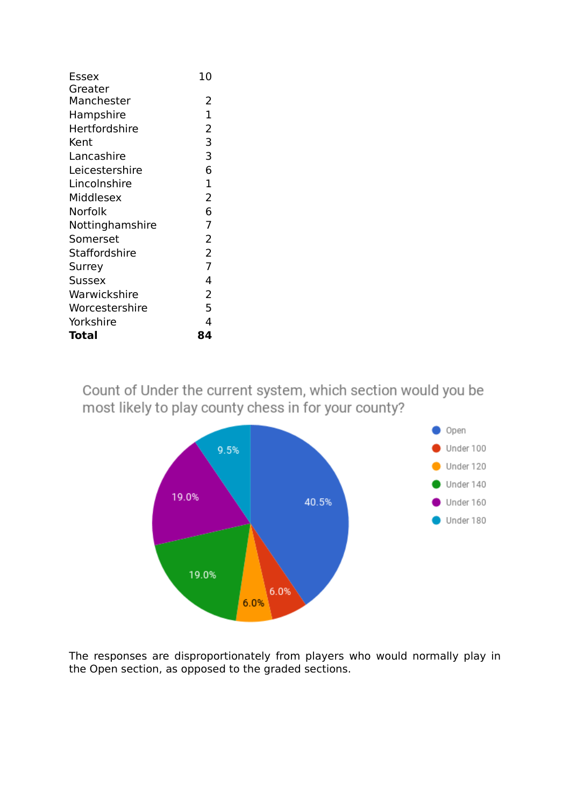| <b>Essex</b>         | 10             |
|----------------------|----------------|
| Greater              |                |
| Manchester           | 2              |
| Hampshire            | $\mathbf{1}$   |
| <b>Hertfordshire</b> | $\overline{2}$ |
| Kent                 | 3              |
| Lancashire           | 3              |
| Leicestershire       | 6              |
| Lincolnshire         | $\mathbf{1}$   |
| Middlesex            | $\overline{2}$ |
| Norfolk              | 6              |
| Nottinghamshire      | $\overline{7}$ |
| Somerset             | $\overline{2}$ |
| Staffordshire        | $\overline{2}$ |
| Surrey               | $\overline{7}$ |
| <b>Sussex</b>        | 4              |
| Warwickshire         | $\overline{2}$ |
| Worcestershire       | 5              |
| Yorkshire            | 4              |
| Total                | 84             |

Count of Under the current system, which section would you be most likely to play county chess in for your county?



The responses are disproportionately from players who would normally play in the Open section, as opposed to the graded sections.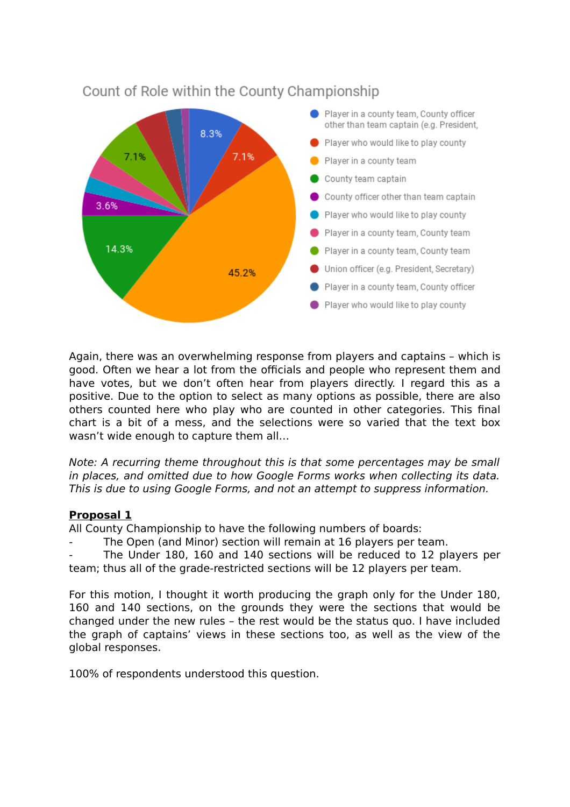

# Count of Role within the County Championship

Again, there was an overwhelming response from players and captains – which is good. Often we hear a lot from the officials and people who represent them and have votes, but we don't often hear from players directly. I regard this as a positive. Due to the option to select as many options as possible, there are also others counted here who play who are counted in other categories. This final chart is a bit of a mess, and the selections were so varied that the text box wasn't wide enough to capture them all…

Note: A recurring theme throughout this is that some percentages may be small in places, and omitted due to how Google Forms works when collecting its data. This is due to using Google Forms, and not an attempt to suppress information.

# **Proposal 1**

All County Championship to have the following numbers of boards:

The Open (and Minor) section will remain at 16 players per team.

The Under 180, 160 and 140 sections will be reduced to 12 players per team; thus all of the grade-restricted sections will be 12 players per team.

For this motion, I thought it worth producing the graph only for the Under 180, 160 and 140 sections, on the grounds they were the sections that would be changed under the new rules – the rest would be the status quo. I have included the graph of captains' views in these sections too, as well as the view of the global responses.

100% of respondents understood this question.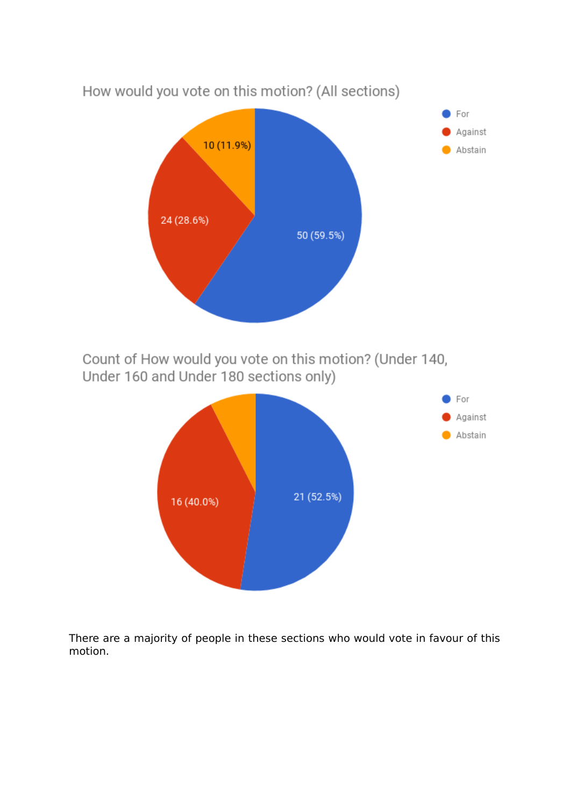

There are a majority of people in these sections who would vote in favour of this motion.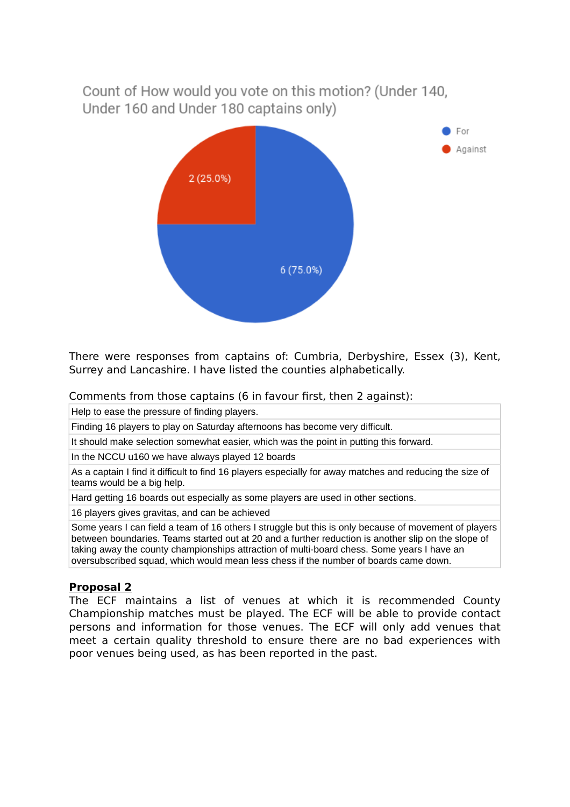Count of How would you vote on this motion? (Under 140. Under 160 and Under 180 captains only)



There were responses from captains of: Cumbria, Derbyshire, Essex (3), Kent, Surrey and Lancashire. I have listed the counties alphabetically.

Comments from those captains (6 in favour first, then 2 against):

Help to ease the pressure of finding players.

Finding 16 players to play on Saturday afternoons has become very difficult.

It should make selection somewhat easier, which was the point in putting this forward.

In the NCCU u160 we have always played 12 boards

As a captain I find it difficult to find 16 players especially for away matches and reducing the size of teams would be a big help.

Hard getting 16 boards out especially as some players are used in other sections.

16 players gives gravitas, and can be achieved

Some years I can field a team of 16 others I struggle but this is only because of movement of players between boundaries. Teams started out at 20 and a further reduction is another slip on the slope of taking away the county championships attraction of multi-board chess. Some years I have an oversubscribed squad, which would mean less chess if the number of boards came down.

## **Proposal 2**

The ECF maintains a list of venues at which it is recommended County Championship matches must be played. The ECF will be able to provide contact persons and information for those venues. The ECF will only add venues that meet a certain quality threshold to ensure there are no bad experiences with poor venues being used, as has been reported in the past.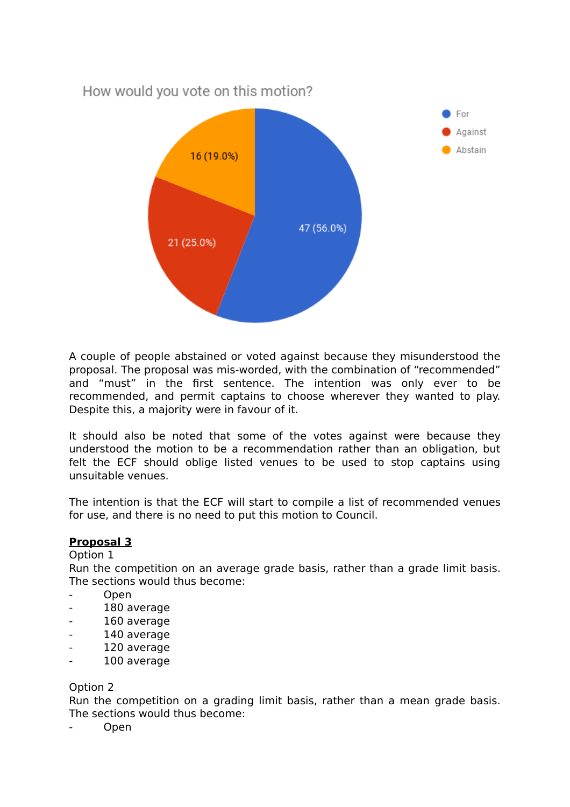

A couple of people abstained or voted against because they misunderstood the proposal. The proposal was mis-worded, with the combination of "recommended" and "must" in the first sentence. The intention was only ever to be recommended, and permit captains to choose wherever they wanted to play. Despite this, a majority were in favour of it.

It should also be noted that some of the votes against were because they understood the motion to be a recommendation rather than an obligation, but felt the ECF should oblige listed venues to be used to stop captains using unsuitable venues.

The intention is that the ECF will start to compile a list of recommended venues for use, and there is no need to put this motion to Council.

## **Proposal 3**

Option 1

Run the competition on an average grade basis, rather than a grade limit basis. The sections would thus become:

- Open
- 180 average
- 160 average
- 140 average
- 120 average
- 100 average

#### Option 2

Run the competition on a grading limit basis, rather than a mean grade basis. The sections would thus become:

- Open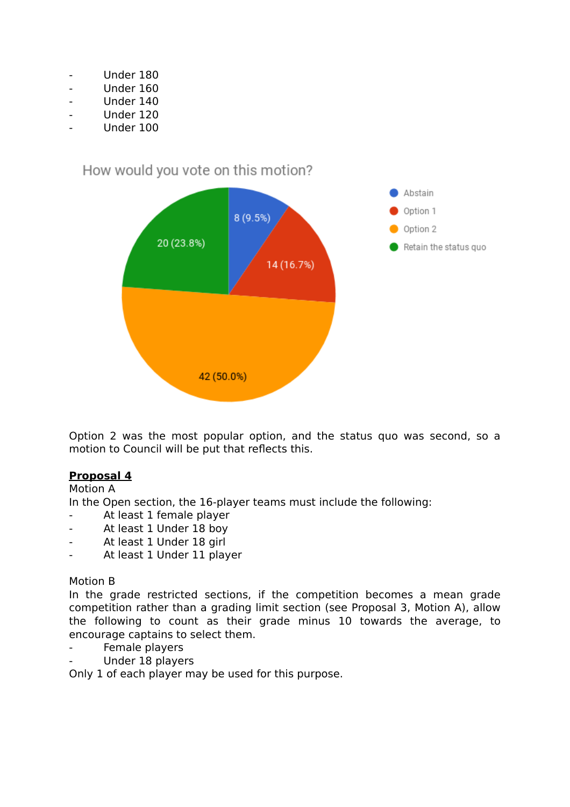- Under 180
- Under 160
- Under 140
- Under 120
- Under 100

How would you vote on this motion?



Option 2 was the most popular option, and the status quo was second, so a motion to Council will be put that reflects this.

# **Proposal 4**

Motion A

In the Open section, the 16-player teams must include the following:

- At least 1 female player
- At least 1 Under 18 boy
- At least 1 Under 18 girl
- At least 1 Under 11 player

## Motion B

In the grade restricted sections, if the competition becomes a mean grade competition rather than a grading limit section (see Proposal 3, Motion A), allow the following to count as their grade minus 10 towards the average, to encourage captains to select them.

- Female players
- Under 18 players

Only 1 of each player may be used for this purpose.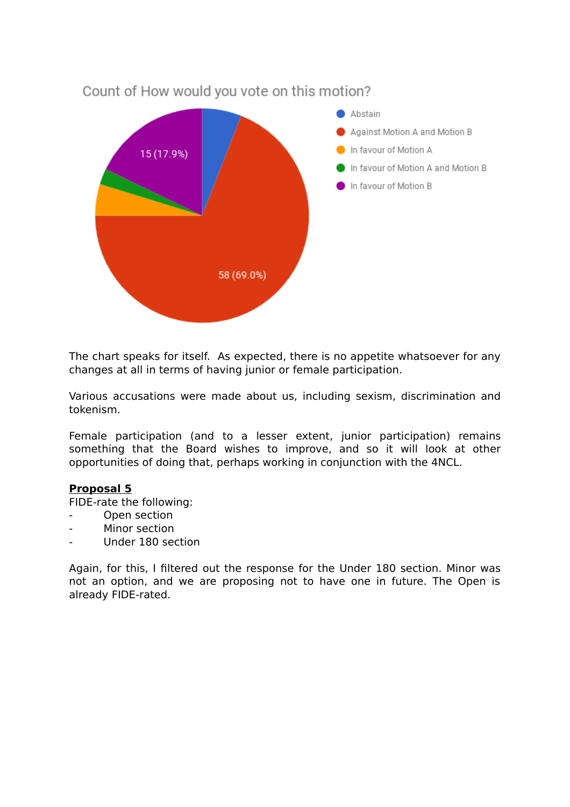

The chart speaks for itself. As expected, there is no appetite whatsoever for any changes at all in terms of having junior or female participation.

Various accusations were made about us, including sexism, discrimination and tokenism.

Female participation (and to a lesser extent, junior participation) remains something that the Board wishes to improve, and so it will look at other opportunities of doing that, perhaps working in conjunction with the 4NCL.

## **Proposal 5**

FIDE-rate the following:

- Open section
- Minor section
- Under 180 section

Again, for this, I filtered out the response for the Under 180 section. Minor was not an option, and we are proposing not to have one in future. The Open is already FIDE-rated.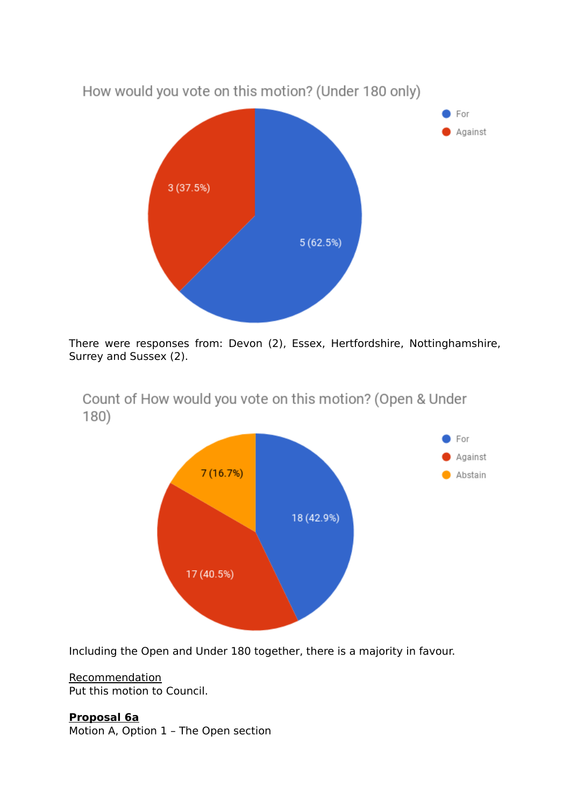

There were responses from: Devon (2), Essex, Hertfordshire, Nottinghamshire, Surrey and Sussex (2).

Count of How would you vote on this motion? (Open & Under  $180)$ 



Including the Open and Under 180 together, there is a majority in favour.

**Recommendation** Put this motion to Council.

**Proposal 6a**

Motion A, Option 1 – The Open section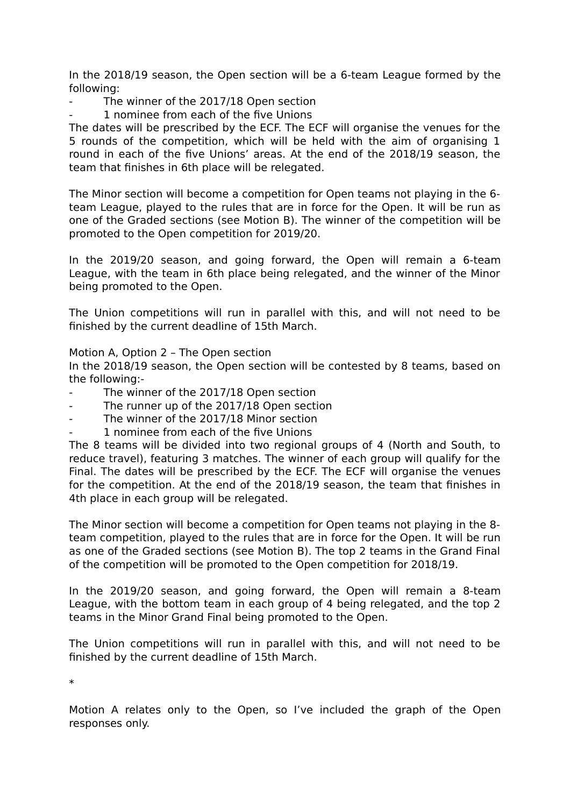In the 2018/19 season, the Open section will be a 6-team League formed by the following:

- The winner of the 2017/18 Open section
- 1 nominee from each of the five Unions

The dates will be prescribed by the ECF. The ECF will organise the venues for the 5 rounds of the competition, which will be held with the aim of organising 1 round in each of the five Unions' areas. At the end of the 2018/19 season, the team that finishes in 6th place will be relegated.

The Minor section will become a competition for Open teams not playing in the 6 team League, played to the rules that are in force for the Open. It will be run as one of the Graded sections (see Motion B). The winner of the competition will be promoted to the Open competition for 2019/20.

In the 2019/20 season, and going forward, the Open will remain a 6-team League, with the team in 6th place being relegated, and the winner of the Minor being promoted to the Open.

The Union competitions will run in parallel with this, and will not need to be finished by the current deadline of 15th March.

Motion A, Option 2 – The Open section

In the 2018/19 season, the Open section will be contested by 8 teams, based on the following:-

- The winner of the 2017/18 Open section
- The runner up of the 2017/18 Open section
- The winner of the 2017/18 Minor section
- 1 nominee from each of the five Unions

The 8 teams will be divided into two regional groups of 4 (North and South, to reduce travel), featuring 3 matches. The winner of each group will qualify for the Final. The dates will be prescribed by the ECF. The ECF will organise the venues for the competition. At the end of the 2018/19 season, the team that finishes in 4th place in each group will be relegated.

The Minor section will become a competition for Open teams not playing in the 8 team competition, played to the rules that are in force for the Open. It will be run as one of the Graded sections (see Motion B). The top 2 teams in the Grand Final of the competition will be promoted to the Open competition for 2018/19.

In the 2019/20 season, and going forward, the Open will remain a 8-team League, with the bottom team in each group of 4 being relegated, and the top 2 teams in the Minor Grand Final being promoted to the Open.

The Union competitions will run in parallel with this, and will not need to be finished by the current deadline of 15th March.

\*

Motion A relates only to the Open, so I've included the graph of the Open responses only.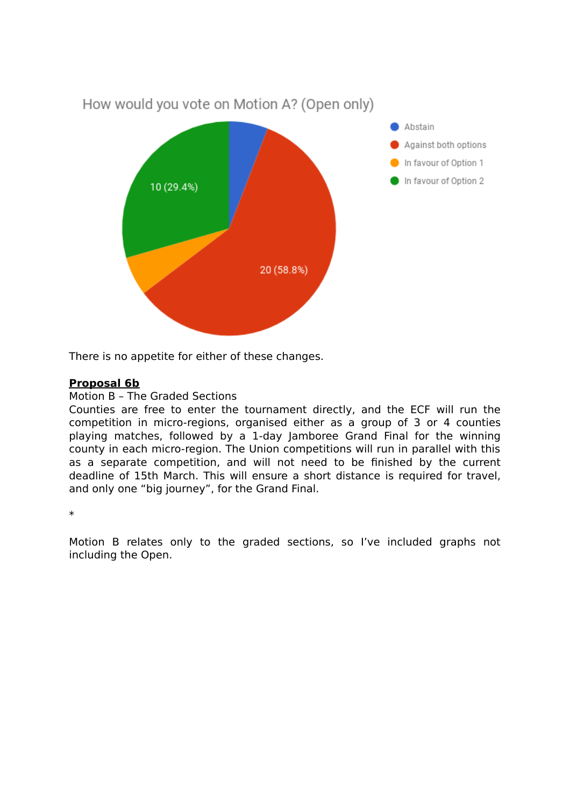

There is no appetite for either of these changes.

## **Proposal 6b**

#### Motion B – The Graded Sections

Counties are free to enter the tournament directly, and the ECF will run the competition in micro-regions, organised either as a group of 3 or 4 counties playing matches, followed by a 1-day Jamboree Grand Final for the winning county in each micro-region. The Union competitions will run in parallel with this as a separate competition, and will not need to be finished by the current deadline of 15th March. This will ensure a short distance is required for travel, and only one "big journey", for the Grand Final.

\*

Motion B relates only to the graded sections, so I've included graphs not including the Open.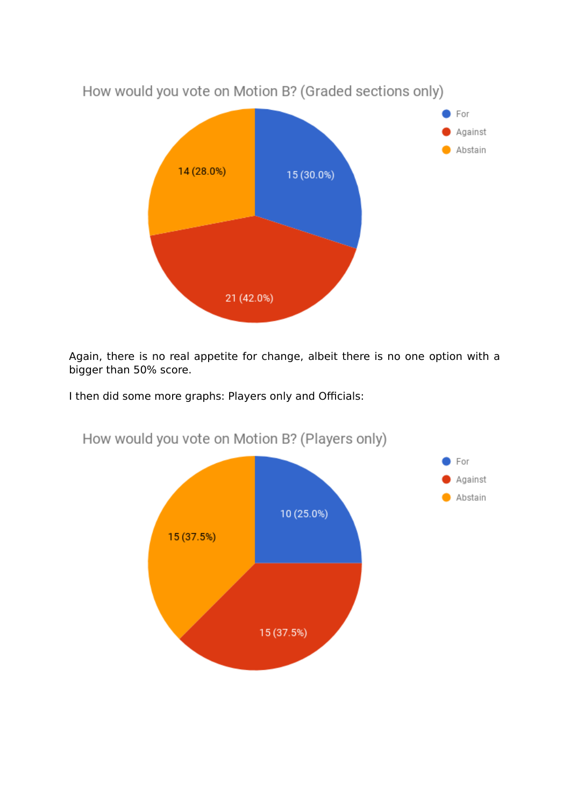

Again, there is no real appetite for change, albeit there is no one option with a bigger than 50% score.

I then did some more graphs: Players only and Officials:



How would you vote on Motion B? (Players only)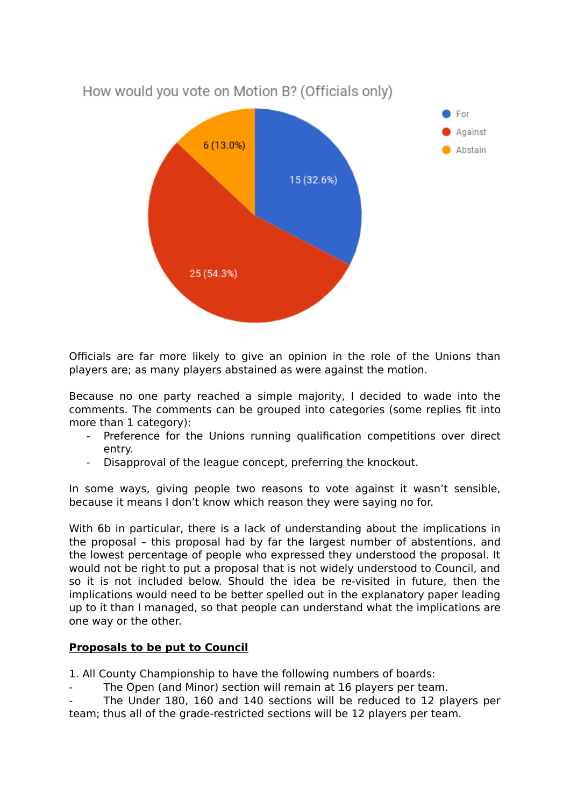

Officials are far more likely to give an opinion in the role of the Unions than players are; as many players abstained as were against the motion.

Because no one party reached a simple majority, I decided to wade into the comments. The comments can be grouped into categories (some replies fit into more than 1 category):

- Preference for the Unions running qualification competitions over direct entry.
- Disapproval of the league concept, preferring the knockout.

In some ways, giving people two reasons to vote against it wasn't sensible, because it means I don't know which reason they were saying no for.

With 6b in particular, there is a lack of understanding about the implications in the proposal – this proposal had by far the largest number of abstentions, and the lowest percentage of people who expressed they understood the proposal. It would not be right to put a proposal that is not widely understood to Council, and so it is not included below. Should the idea be re-visited in future, then the implications would need to be better spelled out in the explanatory paper leading up to it than I managed, so that people can understand what the implications are one way or the other.

# **Proposals to be put to Council**

1. All County Championship to have the following numbers of boards:

- The Open (and Minor) section will remain at 16 players per team.
- The Under 180, 160 and 140 sections will be reduced to 12 players per team; thus all of the grade-restricted sections will be 12 players per team.